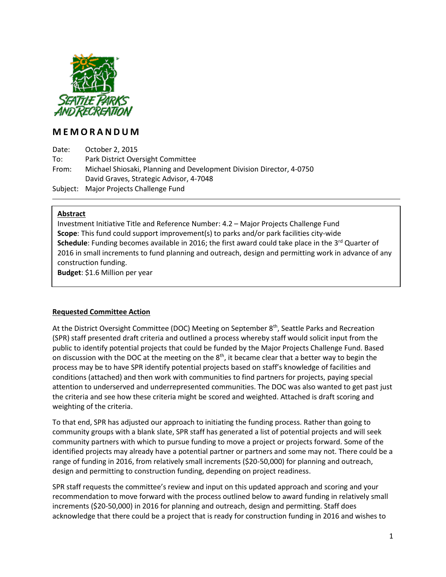

### **M E M O R A N D U M**

Date: October 2, 2015 To: Park District Oversight Committee From: Michael Shiosaki, Planning and Development Division Director, 4-0750 David Graves, Strategic Advisor, 4-7048 Subject: Major Projects Challenge Fund

#### **Abstract**

Investment Initiative Title and Reference Number: 4.2 – Major Projects Challenge Fund **Scope**: This fund could support improvement(s) to parks and/or park facilities city-wide **Schedule**: Funding becomes available in 2016; the first award could take place in the 3<sup>rd</sup> Quarter of 2016 in small increments to fund planning and outreach, design and permitting work in advance of any construction funding. **Budget**: \$1.6 Million per year

#### **Requested Committee Action**

At the District Oversight Committee (DOC) Meeting on September 8<sup>th</sup>, Seattle Parks and Recreation (SPR) staff presented draft criteria and outlined a process whereby staff would solicit input from the public to identify potential projects that could be funded by the Major Projects Challenge Fund. Based on discussion with the DOC at the meeting on the  $8<sup>th</sup>$ , it became clear that a better way to begin the process may be to have SPR identify potential projects based on staff's knowledge of facilities and conditions (attached) and then work with communities to find partners for projects, paying special attention to underserved and underrepresented communities. The DOC was also wanted to get past just the criteria and see how these criteria might be scored and weighted. Attached is draft scoring and weighting of the criteria.

To that end, SPR has adjusted our approach to initiating the funding process. Rather than going to community groups with a blank slate, SPR staff has generated a list of potential projects and will seek community partners with which to pursue funding to move a project or projects forward. Some of the identified projects may already have a potential partner or partners and some may not. There could be a range of funding in 2016, from relatively small increments (\$20-50,000) for planning and outreach, design and permitting to construction funding, depending on project readiness.

SPR staff requests the committee's review and input on this updated approach and scoring and your recommendation to move forward with the process outlined below to award funding in relatively small increments (\$20-50,000) in 2016 for planning and outreach, design and permitting. Staff does acknowledge that there could be a project that is ready for construction funding in 2016 and wishes to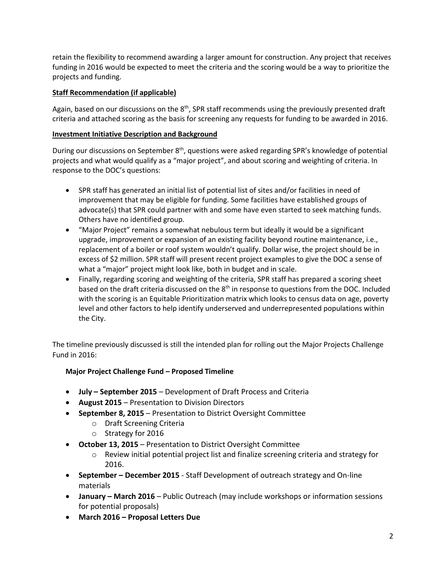retain the flexibility to recommend awarding a larger amount for construction. Any project that receives funding in 2016 would be expected to meet the criteria and the scoring would be a way to prioritize the projects and funding.

#### **Staff Recommendation (if applicable)**

Again, based on our discussions on the 8<sup>th</sup>, SPR staff recommends using the previously presented draft criteria and attached scoring as the basis for screening any requests for funding to be awarded in 2016.

#### **Investment Initiative Description and Background**

During our discussions on September 8<sup>th</sup>, questions were asked regarding SPR's knowledge of potential projects and what would qualify as a "major project", and about scoring and weighting of criteria. In response to the DOC's questions:

- SPR staff has generated an initial list of potential list of sites and/or facilities in need of improvement that may be eligible for funding. Some facilities have established groups of advocate(s) that SPR could partner with and some have even started to seek matching funds. Others have no identified group.
- "Major Project" remains a somewhat nebulous term but ideally it would be a significant upgrade, improvement or expansion of an existing facility beyond routine maintenance, i.e., replacement of a boiler or roof system wouldn't qualify. Dollar wise, the project should be in excess of \$2 million. SPR staff will present recent project examples to give the DOC a sense of what a "major" project might look like, both in budget and in scale.
- Finally, regarding scoring and weighting of the criteria, SPR staff has prepared a scoring sheet based on the draft criteria discussed on the  $8<sup>th</sup>$  in response to questions from the DOC. Included with the scoring is an Equitable Prioritization matrix which looks to census data on age, poverty level and other factors to help identify underserved and underrepresented populations within the City.

The timeline previously discussed is still the intended plan for rolling out the Major Projects Challenge Fund in 2016:

### **Major Project Challenge Fund – Proposed Timeline**

- **July – September 2015** Development of Draft Process and Criteria
- **August 2015**  Presentation to Division Directors
- **September 8, 2015** Presentation to District Oversight Committee
	- o Draft Screening Criteria
	- o Strategy for 2016
- **October 13, 2015** Presentation to District Oversight Committee
	- o Review initial potential project list and finalize screening criteria and strategy for 2016.
- **September – December 2015** Staff Development of outreach strategy and On-line materials
- **January – March 2016** Public Outreach (may include workshops or information sessions for potential proposals)
- **March 2016 – Proposal Letters Due**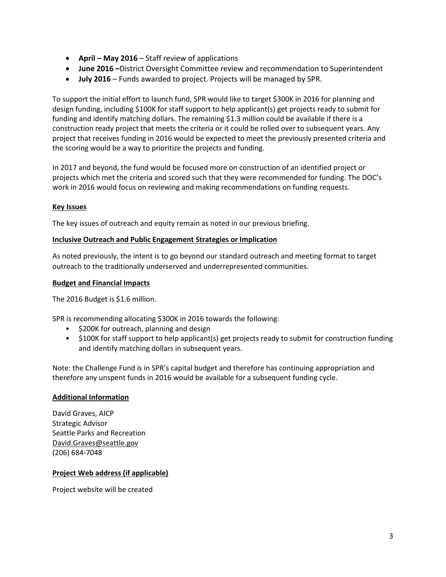- **April – May 2016** Staff review of applications
- **June 2016 –**District Oversight Committee review and recommendation to Superintendent
- **July 2016** Funds awarded to project. Projects will be managed by SPR.

To support the initial effort to launch fund, SPR would like to target \$300K in 2016 for planning and design funding, including \$100K for staff support to help applicant(s) get projects ready to submit for funding and identify matching dollars. The remaining \$1.3 million could be available if there is a construction ready project that meets the criteria or it could be rolled over to subsequent years. Any project that receives funding in 2016 would be expected to meet the previously presented criteria and the scoring would be a way to prioritize the projects and funding.

In 2017 and beyond, the fund would be focused more on construction of an identified project or projects which met the criteria and scored such that they were recommended for funding. The DOC's work in 2016 would focus on reviewing and making recommendations on funding requests.

#### **Key Issues**

The key issues of outreach and equity remain as noted in our previous briefing.

#### **Inclusive Outreach and Public Engagement Strategies or Implication**

As noted previously, the intent is to go beyond our standard outreach and meeting format to target outreach to the traditionally underserved and underrepresented communities.

#### **Budget and Financial Impacts**

The 2016 Budget is \$1.6 million.

SPR is recommending allocating \$300K in 2016 towards the following:

- \$200K for outreach, planning and design
- \$100K for staff support to help applicant(s) get projects ready to submit for construction funding and identify matching dollars in subsequent years.

Note: the Challenge Fund is in SPR's capital budget and therefore has continuing appropriation and therefore any unspent funds in 2016 would be available for a subsequent funding cycle.

#### **Additional Information**

David Graves, AICP Strategic Advisor Seattle Parks and Recreation [David.Graves@seattle.gov](mailto:David.Graves@seattle.gov) (206) 684-7048

#### **Project Web address (if applicable)**

Project website will be created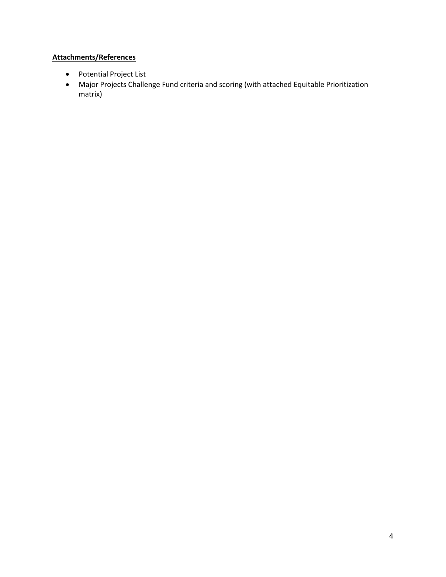## **Attachments/References**

- Potential Project List
- Major Projects Challenge Fund criteria and scoring (with attached Equitable Prioritization matrix)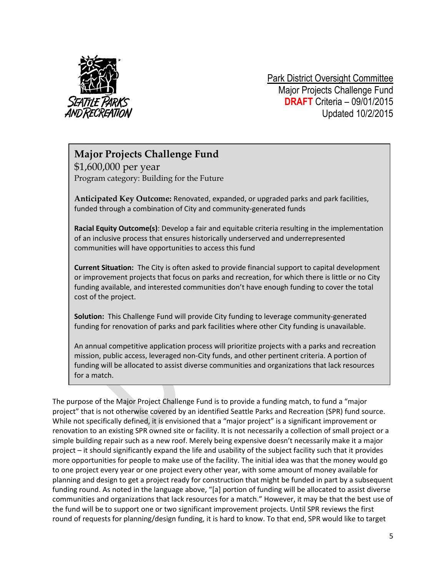

Park District Oversight Committee Major Projects Challenge Fund **DRAFT** Criteria – 09/01/2015 Updated 10/2/2015

## **Major Projects Challenge Fund**

\$1,600,000 per year Program category: Building for the Future

**Anticipated Key Outcome:** Renovated, expanded, or upgraded parks and park facilities, funded through a combination of City and community-generated funds

**Racial Equity Outcome(s)**: Develop a fair and equitable criteria resulting in the implementation of an inclusive process that ensures historically underserved and underrepresented communities will have opportunities to access this fund

**Current Situation:** The City is often asked to provide financial support to capital development or improvement projects that focus on parks and recreation, for which there is little or no City funding available, and interested communities don't have enough funding to cover the total cost of the project.

**Solution:** This Challenge Fund will provide City funding to leverage community-generated funding for renovation of parks and park facilities where other City funding is unavailable.

An annual competitive application process will prioritize projects with a parks and recreation mission, public access, leveraged non-City funds, and other pertinent criteria. A portion of funding will be allocated to assist diverse communities and organizations that lack resources for a match.

The purpose of the Major Project Challenge Fund is to provide a funding match, to fund a "major project" that is not otherwise covered by an identified Seattle Parks and Recreation (SPR) fund source. While not specifically defined, it is envisioned that a "major project" is a significant improvement or renovation to an existing SPR owned site or facility. It is not necessarily a collection of small project or a simple building repair such as a new roof. Merely being expensive doesn't necessarily make it a major project – it should significantly expand the life and usability of the subject facility such that it provides more opportunities for people to make use of the facility. The initial idea was that the money would go to one project every year or one project every other year, with some amount of money available for planning and design to get a project ready for construction that might be funded in part by a subsequent funding round. As noted in the language above, "[a] portion of funding will be allocated to assist diverse communities and organizations that lack resources for a match." However, it may be that the best use of the fund will be to support one or two significant improvement projects. Until SPR reviews the first round of requests for planning/design funding, it is hard to know. To that end, SPR would like to target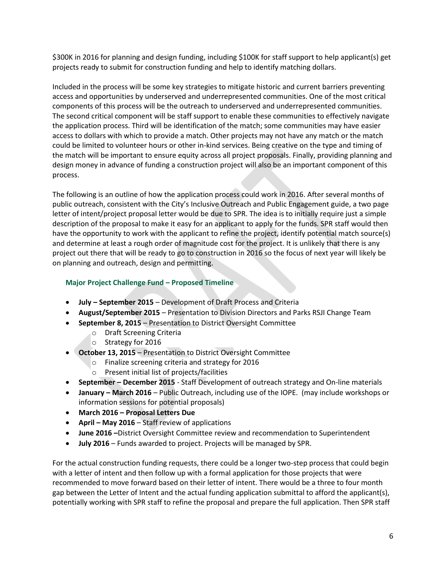\$300K in 2016 for planning and design funding, including \$100K for staff support to help applicant(s) get projects ready to submit for construction funding and help to identify matching dollars.

Included in the process will be some key strategies to mitigate historic and current barriers preventing access and opportunities by underserved and underrepresented communities. One of the most critical components of this process will be the outreach to underserved and underrepresented communities. The second critical component will be staff support to enable these communities to effectively navigate the application process. Third will be identification of the match; some communities may have easier access to dollars with which to provide a match. Other projects may not have any match or the match could be limited to volunteer hours or other in-kind services. Being creative on the type and timing of the match will be important to ensure equity across all project proposals. Finally, providing planning and design money in advance of funding a construction project will also be an important component of this process.

The following is an outline of how the application process could work in 2016. After several months of public outreach, consistent with the City's Inclusive Outreach and Public Engagement guide, a two page letter of intent/project proposal letter would be due to SPR. The idea is to initially require just a simple description of the proposal to make it easy for an applicant to apply for the funds. SPR staff would then have the opportunity to work with the applicant to refine the project, identify potential match source(s) and determine at least a rough order of magnitude cost for the project. It is unlikely that there is any project out there that will be ready to go to construction in 2016 so the focus of next year will likely be on planning and outreach, design and permitting.

#### **Major Project Challenge Fund – Proposed Timeline**

- **July – September 2015** Development of Draft Process and Criteria
- **August/September 2015**  Presentation to Division Directors and Parks RSJI Change Team
- **September 8, 2015** Presentation to District Oversight Committee
	- o Draft Screening Criteria
		- o Strategy for 2016
- **October 13, 2015** Presentation to District Oversight Committee
	- o Finalize screening criteria and strategy for 2016
	- o Present initial list of projects/facilities
- **September – December 2015** Staff Development of outreach strategy and On-line materials
- **January – March 2016** Public Outreach, including use of the IOPE. (may include workshops or information sessions for potential proposals)
- **March 2016 – Proposal Letters Due**
- **April – May 2016** Staff review of applications
- **June 2016 –**District Oversight Committee review and recommendation to Superintendent
- **July 2016** Funds awarded to project. Projects will be managed by SPR.

For the actual construction funding requests, there could be a longer two-step process that could begin with a letter of intent and then follow up with a formal application for those projects that were recommended to move forward based on their letter of intent. There would be a three to four month gap between the Letter of Intent and the actual funding application submittal to afford the applicant(s), potentially working with SPR staff to refine the proposal and prepare the full application. Then SPR staff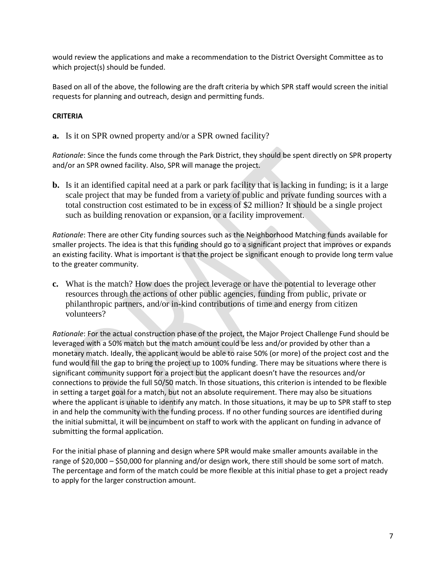would review the applications and make a recommendation to the District Oversight Committee as to which project(s) should be funded.

Based on all of the above, the following are the draft criteria by which SPR staff would screen the initial requests for planning and outreach, design and permitting funds.

#### **CRITERIA**

**a.** Is it on SPR owned property and/or a SPR owned facility?

*Rationale*: Since the funds come through the Park District, they should be spent directly on SPR property and/or an SPR owned facility. Also, SPR will manage the project.

**b.** Is it an identified capital need at a park or park facility that is lacking in funding; is it a large scale project that may be funded from a variety of public and private funding sources with a total construction cost estimated to be in excess of \$2 million? It should be a single project such as building renovation or expansion, or a facility improvement.

*Rationale*: There are other City funding sources such as the Neighborhood Matching funds available for smaller projects. The idea is that this funding should go to a significant project that improves or expands an existing facility. What is important is that the project be significant enough to provide long term value to the greater community.

**c.** What is the match? How does the project leverage or have the potential to leverage other resources through the actions of other public agencies, funding from public, private or philanthropic partners, and/or in-kind contributions of time and energy from citizen volunteers?

*Rationale*: For the actual construction phase of the project, the Major Project Challenge Fund should be leveraged with a 50% match but the match amount could be less and/or provided by other than a monetary match. Ideally, the applicant would be able to raise 50% (or more) of the project cost and the fund would fill the gap to bring the project up to 100% funding. There may be situations where there is significant community support for a project but the applicant doesn't have the resources and/or connections to provide the full 50/50 match. In those situations, this criterion is intended to be flexible in setting a target goal for a match, but not an absolute requirement. There may also be situations where the applicant is unable to identify any match. In those situations, it may be up to SPR staff to step in and help the community with the funding process. If no other funding sources are identified during the initial submittal, it will be incumbent on staff to work with the applicant on funding in advance of submitting the formal application.

For the initial phase of planning and design where SPR would make smaller amounts available in the range of \$20,000 – \$50,000 for planning and/or design work, there still should be some sort of match. The percentage and form of the match could be more flexible at this initial phase to get a project ready to apply for the larger construction amount.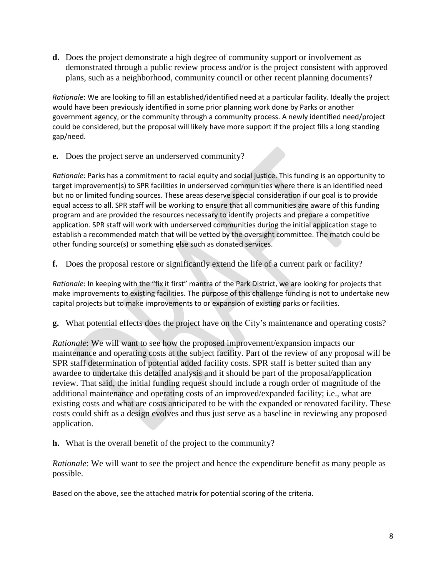**d.** Does the project demonstrate a high degree of community support or involvement as demonstrated through a public review process and/or is the project consistent with approved plans, such as a neighborhood, community council or other recent planning documents?

*Rationale*: We are looking to fill an established/identified need at a particular facility. Ideally the project would have been previously identified in some prior planning work done by Parks or another government agency, or the community through a community process. A newly identified need/project could be considered, but the proposal will likely have more support if the project fills a long standing gap/need.

**e.** Does the project serve an underserved community?

*Rationale*: Parks has a commitment to racial equity and social justice. This funding is an opportunity to target improvement(s) to SPR facilities in underserved communities where there is an identified need but no or limited funding sources. These areas deserve special consideration if our goal is to provide equal access to all. SPR staff will be working to ensure that all communities are aware of this funding program and are provided the resources necessary to identify projects and prepare a competitive application. SPR staff will work with underserved communities during the initial application stage to establish a recommended match that will be vetted by the oversight committee. The match could be other funding source(s) or something else such as donated services.

**f.** Does the proposal restore or significantly extend the life of a current park or facility?

*Rationale*: In keeping with the "fix it first" mantra of the Park District, we are looking for projects that make improvements to existing facilities. The purpose of this challenge funding is not to undertake new capital projects but to make improvements to or expansion of existing parks or facilities.

**g.** What potential effects does the project have on the City's maintenance and operating costs?

*Rationale*: We will want to see how the proposed improvement/expansion impacts our maintenance and operating costs at the subject facility. Part of the review of any proposal will be SPR staff determination of potential added facility costs. SPR staff is better suited than any awardee to undertake this detailed analysis and it should be part of the proposal/application review. That said, the initial funding request should include a rough order of magnitude of the additional maintenance and operating costs of an improved/expanded facility; i.e., what are existing costs and what are costs anticipated to be with the expanded or renovated facility. These costs could shift as a design evolves and thus just serve as a baseline in reviewing any proposed application.

**h.** What is the overall benefit of the project to the community?

*Rationale*: We will want to see the project and hence the expenditure benefit as many people as possible.

Based on the above, see the attached matrix for potential scoring of the criteria.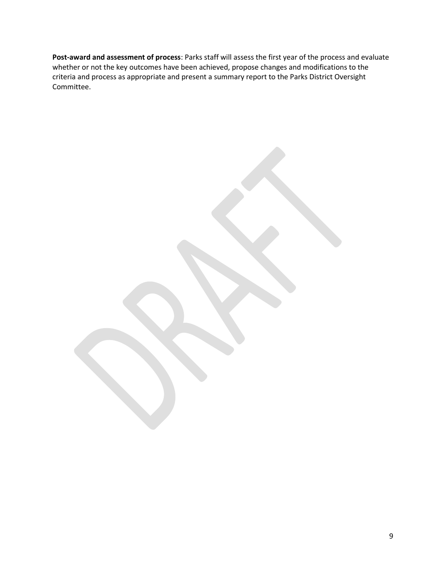**Post-award and assessment of process**: Parks staff will assess the first year of the process and evaluate whether or not the key outcomes have been achieved, propose changes and modifications to the criteria and process as appropriate and present a summary report to the Parks District Oversight Committee.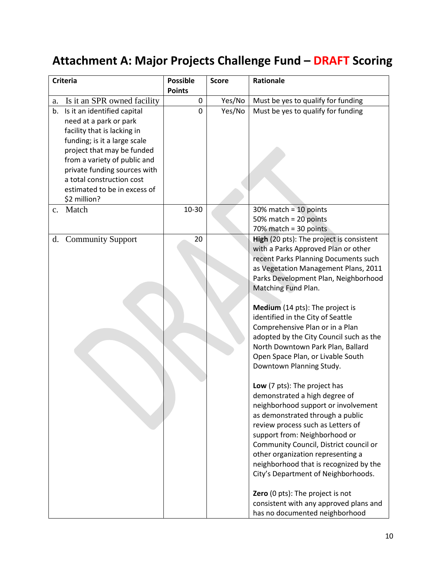# **Attachment A: Major Projects Challenge Fund – DRAFT Scoring**

| <b>Criteria</b> |                                                                                                                                                                                                                                                 | <b>Possible</b><br><b>Score</b> |        | Rationale                                                                       |  |  |
|-----------------|-------------------------------------------------------------------------------------------------------------------------------------------------------------------------------------------------------------------------------------------------|---------------------------------|--------|---------------------------------------------------------------------------------|--|--|
|                 |                                                                                                                                                                                                                                                 | <b>Points</b>                   |        |                                                                                 |  |  |
| a.              | Is it an SPR owned facility                                                                                                                                                                                                                     | $\mathbf 0$                     | Yes/No | Must be yes to qualify for funding                                              |  |  |
| b.              | Is it an identified capital<br>need at a park or park<br>facility that is lacking in<br>funding; is it a large scale<br>project that may be funded<br>from a variety of public and<br>private funding sources with<br>a total construction cost | 0                               | Yes/No | Must be yes to qualify for funding                                              |  |  |
|                 | estimated to be in excess of                                                                                                                                                                                                                    |                                 |        |                                                                                 |  |  |
|                 | \$2 million?                                                                                                                                                                                                                                    |                                 |        |                                                                                 |  |  |
| c.              | Match                                                                                                                                                                                                                                           | 10-30                           |        | $30\%$ match = 10 points                                                        |  |  |
|                 |                                                                                                                                                                                                                                                 |                                 |        | 50% match = $20$ points                                                         |  |  |
|                 |                                                                                                                                                                                                                                                 |                                 |        | 70% match = 30 points                                                           |  |  |
|                 | d. Community Support                                                                                                                                                                                                                            | 20                              |        | High (20 pts): The project is consistent<br>with a Parks Approved Plan or other |  |  |
|                 |                                                                                                                                                                                                                                                 |                                 |        | recent Parks Planning Documents such                                            |  |  |
|                 |                                                                                                                                                                                                                                                 |                                 |        | as Vegetation Management Plans, 2011                                            |  |  |
|                 |                                                                                                                                                                                                                                                 |                                 |        | Parks Development Plan, Neighborhood                                            |  |  |
|                 |                                                                                                                                                                                                                                                 |                                 |        | Matching Fund Plan.                                                             |  |  |
|                 |                                                                                                                                                                                                                                                 |                                 |        |                                                                                 |  |  |
|                 |                                                                                                                                                                                                                                                 |                                 |        | Medium (14 pts): The project is<br>identified in the City of Seattle            |  |  |
|                 |                                                                                                                                                                                                                                                 |                                 |        | Comprehensive Plan or in a Plan                                                 |  |  |
|                 |                                                                                                                                                                                                                                                 |                                 |        | adopted by the City Council such as the                                         |  |  |
|                 |                                                                                                                                                                                                                                                 |                                 |        | North Downtown Park Plan, Ballard                                               |  |  |
|                 |                                                                                                                                                                                                                                                 |                                 |        | Open Space Plan, or Livable South                                               |  |  |
|                 |                                                                                                                                                                                                                                                 |                                 |        | Downtown Planning Study.                                                        |  |  |
|                 |                                                                                                                                                                                                                                                 |                                 |        |                                                                                 |  |  |
|                 |                                                                                                                                                                                                                                                 |                                 |        | Low (7 pts): The project has                                                    |  |  |
|                 |                                                                                                                                                                                                                                                 |                                 |        | demonstrated a high degree of                                                   |  |  |
|                 |                                                                                                                                                                                                                                                 |                                 |        | neighborhood support or involvement                                             |  |  |
|                 |                                                                                                                                                                                                                                                 |                                 |        | as demonstrated through a public                                                |  |  |
|                 |                                                                                                                                                                                                                                                 |                                 |        | review process such as Letters of                                               |  |  |
|                 |                                                                                                                                                                                                                                                 |                                 |        | support from: Neighborhood or                                                   |  |  |
|                 |                                                                                                                                                                                                                                                 |                                 |        | Community Council, District council or                                          |  |  |
|                 |                                                                                                                                                                                                                                                 |                                 |        | other organization representing a                                               |  |  |
|                 |                                                                                                                                                                                                                                                 |                                 |        | neighborhood that is recognized by the                                          |  |  |
|                 |                                                                                                                                                                                                                                                 |                                 |        | City's Department of Neighborhoods.                                             |  |  |
|                 |                                                                                                                                                                                                                                                 |                                 |        | Zero (0 pts): The project is not                                                |  |  |
|                 |                                                                                                                                                                                                                                                 |                                 |        | consistent with any approved plans and                                          |  |  |
|                 |                                                                                                                                                                                                                                                 |                                 |        | has no documented neighborhood                                                  |  |  |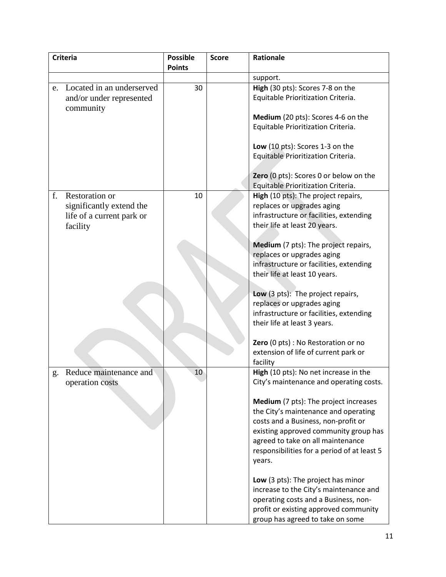| <b>Criteria</b> |                           | <b>Possible</b> | <b>Score</b> | Rationale                                                                      |
|-----------------|---------------------------|-----------------|--------------|--------------------------------------------------------------------------------|
|                 |                           | <b>Points</b>   |              |                                                                                |
|                 |                           |                 |              | support.                                                                       |
| e.              | Located in an underserved | 30              |              | High (30 pts): Scores 7-8 on the                                               |
|                 | and/or under represented  |                 |              | Equitable Prioritization Criteria.                                             |
|                 | community                 |                 |              |                                                                                |
|                 |                           |                 |              | Medium (20 pts): Scores 4-6 on the<br>Equitable Prioritization Criteria.       |
|                 |                           |                 |              |                                                                                |
|                 |                           |                 |              | Low (10 pts): Scores 1-3 on the                                                |
|                 |                           |                 |              | Equitable Prioritization Criteria.                                             |
|                 |                           |                 |              |                                                                                |
|                 |                           |                 |              | Zero (0 pts): Scores 0 or below on the                                         |
|                 |                           |                 |              | Equitable Prioritization Criteria.                                             |
| f.              | <b>Restoration or</b>     | 10              |              | High (10 pts): The project repairs,                                            |
|                 | significantly extend the  |                 |              | replaces or upgrades aging                                                     |
|                 | life of a current park or |                 |              | infrastructure or facilities, extending                                        |
|                 | facility                  |                 |              | their life at least 20 years.                                                  |
|                 |                           |                 |              | Medium (7 pts): The project repairs,                                           |
|                 |                           |                 |              | replaces or upgrades aging                                                     |
|                 |                           |                 |              | infrastructure or facilities, extending                                        |
|                 |                           |                 |              | their life at least 10 years.                                                  |
|                 |                           |                 |              |                                                                                |
|                 |                           |                 |              | Low (3 pts): The project repairs,                                              |
|                 |                           |                 |              | replaces or upgrades aging                                                     |
|                 |                           |                 |              | infrastructure or facilities, extending                                        |
|                 |                           |                 |              | their life at least 3 years.                                                   |
|                 |                           |                 |              |                                                                                |
|                 |                           |                 |              | Zero (0 pts) : No Restoration or no                                            |
|                 |                           |                 |              | extension of life of current park or<br>facility                               |
| g.              | Reduce maintenance and    | 10              |              | High (10 pts): No net increase in the                                          |
|                 | operation costs           |                 |              | City's maintenance and operating costs.                                        |
|                 |                           |                 |              |                                                                                |
|                 |                           |                 |              | Medium (7 pts): The project increases                                          |
|                 |                           |                 |              | the City's maintenance and operating                                           |
|                 |                           |                 |              | costs and a Business, non-profit or                                            |
|                 |                           |                 |              | existing approved community group has                                          |
|                 |                           |                 |              | agreed to take on all maintenance                                              |
|                 |                           |                 |              | responsibilities for a period of at least 5                                    |
|                 |                           |                 |              | years.                                                                         |
|                 |                           |                 |              |                                                                                |
|                 |                           |                 |              | Low (3 pts): The project has minor                                             |
|                 |                           |                 |              | increase to the City's maintenance and<br>operating costs and a Business, non- |
|                 |                           |                 |              | profit or existing approved community                                          |
|                 |                           |                 |              | group has agreed to take on some                                               |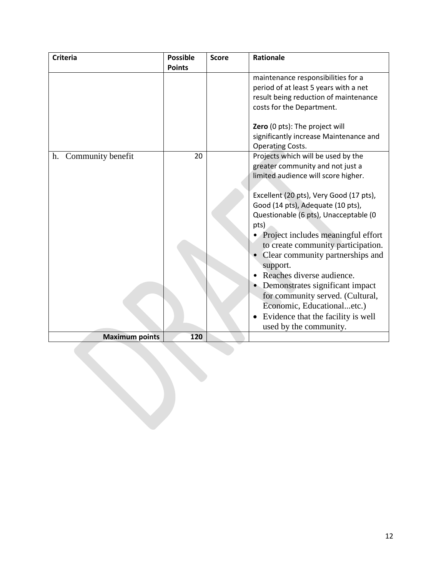| <b>Criteria</b>       | <b>Possible</b> | <b>Score</b> | <b>Rationale</b>                                                                                                                                                                                                                                                                                                                                                                                                                                                                                                                                                               |
|-----------------------|-----------------|--------------|--------------------------------------------------------------------------------------------------------------------------------------------------------------------------------------------------------------------------------------------------------------------------------------------------------------------------------------------------------------------------------------------------------------------------------------------------------------------------------------------------------------------------------------------------------------------------------|
|                       | <b>Points</b>   |              |                                                                                                                                                                                                                                                                                                                                                                                                                                                                                                                                                                                |
|                       |                 |              | maintenance responsibilities for a<br>period of at least 5 years with a net<br>result being reduction of maintenance<br>costs for the Department.<br>Zero (0 pts): The project will                                                                                                                                                                                                                                                                                                                                                                                            |
|                       |                 |              | significantly increase Maintenance and<br><b>Operating Costs.</b>                                                                                                                                                                                                                                                                                                                                                                                                                                                                                                              |
| h. Community benefit  | 20              |              | Projects which will be used by the<br>greater community and not just a<br>limited audience will score higher.<br>Excellent (20 pts), Very Good (17 pts),<br>Good (14 pts), Adequate (10 pts),<br>Questionable (6 pts), Unacceptable (0<br>pts)<br>Project includes meaningful effort<br>to create community participation.<br>Clear community partnerships and<br>support.<br>Reaches diverse audience.<br>• Demonstrates significant impact<br>for community served. (Cultural,<br>Economic, Educationaletc.)<br>Evidence that the facility is well<br>used by the community. |
| <b>Maximum points</b> | 120             |              |                                                                                                                                                                                                                                                                                                                                                                                                                                                                                                                                                                                |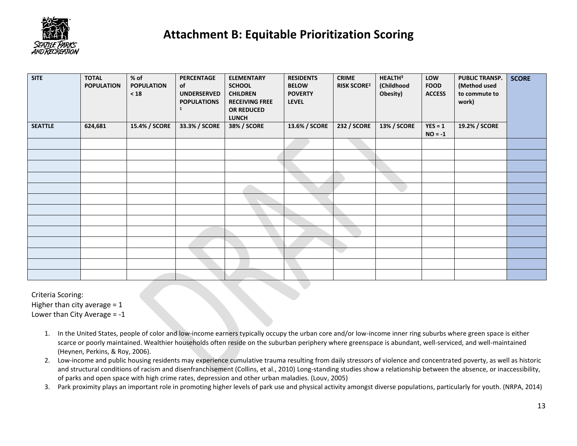

## **Attachment B: Equitable Prioritization Scoring**

| <b>SITE</b>    | <b>TOTAL</b><br><b>POPULATION</b> | $%$ of<br><b>POPULATION</b><br>$\leq 18$ | <b>PERCENTAGE</b><br>of<br><b>UNDERSERVED</b><br><b>POPULATIONS</b><br>$\mathbf{1}$ | <b>ELEMENTARY</b><br><b>SCHOOL</b><br><b>CHILDREN</b><br><b>RECEIVING FREE</b><br>OR REDUCED<br><b>LUNCH</b> | <b>RESIDENTS</b><br><b>BELOW</b><br><b>POVERTY</b><br><b>LEVEL</b> | <b>CRIME</b><br><b>RISK SCORE2</b> | HEALTH <sup>3</sup><br>(Childhood<br>Obesity) | LOW<br><b>FOOD</b><br><b>ACCESS</b> | <b>PUBLIC TRANSP.</b><br>(Method used<br>to commute to<br>work) | <b>SCORE</b> |
|----------------|-----------------------------------|------------------------------------------|-------------------------------------------------------------------------------------|--------------------------------------------------------------------------------------------------------------|--------------------------------------------------------------------|------------------------------------|-----------------------------------------------|-------------------------------------|-----------------------------------------------------------------|--------------|
| <b>SEATTLE</b> | 624,681                           | 15.4% / SCORE                            | 33.3% / SCORE                                                                       | <b>38% / SCORE</b>                                                                                           | 13.6% / SCORE                                                      | <b>232 / SCORE</b>                 | <b>13% / SCORE</b>                            | $YES = 1$<br>$NO = -1$              | 19.2% / SCORE                                                   |              |
|                |                                   |                                          |                                                                                     |                                                                                                              |                                                                    |                                    |                                               |                                     |                                                                 |              |
|                |                                   |                                          |                                                                                     |                                                                                                              |                                                                    |                                    |                                               |                                     |                                                                 |              |
|                |                                   |                                          |                                                                                     |                                                                                                              |                                                                    |                                    |                                               |                                     |                                                                 |              |
|                |                                   |                                          |                                                                                     |                                                                                                              |                                                                    |                                    |                                               |                                     |                                                                 |              |
|                |                                   |                                          |                                                                                     |                                                                                                              |                                                                    |                                    |                                               |                                     |                                                                 |              |
|                |                                   |                                          |                                                                                     |                                                                                                              |                                                                    |                                    |                                               |                                     |                                                                 |              |
|                |                                   |                                          |                                                                                     |                                                                                                              |                                                                    |                                    |                                               |                                     |                                                                 |              |
|                |                                   |                                          |                                                                                     |                                                                                                              |                                                                    |                                    |                                               |                                     |                                                                 |              |
|                |                                   |                                          |                                                                                     |                                                                                                              |                                                                    |                                    |                                               |                                     |                                                                 |              |
|                |                                   |                                          |                                                                                     |                                                                                                              |                                                                    |                                    |                                               |                                     |                                                                 |              |
|                |                                   |                                          |                                                                                     |                                                                                                              |                                                                    | e i                                |                                               |                                     |                                                                 |              |
|                |                                   |                                          |                                                                                     |                                                                                                              |                                                                    |                                    |                                               |                                     |                                                                 |              |
|                |                                   |                                          |                                                                                     |                                                                                                              |                                                                    |                                    |                                               |                                     |                                                                 |              |

Criteria Scoring:

Higher than city average  $= 1$ Lower than City Average = -1

- 1. In the United States, people of color and low-income earners typically occupy the urban core and/or low-income inner ring suburbs where green space is either scarce or poorly maintained. Wealthier households often reside on the suburban periphery where greenspace is abundant, well-serviced, and well-maintained (Heynen, Perkins, & Roy, 2006).
- 2. Low-income and public housing residents may experience cumulative trauma resulting from daily stressors of violence and concentrated poverty, as well as historic and structural conditions of racism and disenfranchisement (Collins, et al., 2010) Long-standing studies show a relationship between the absence, or inaccessibility, of parks and open space with high crime rates, depression and other urban maladies. (Louv, 2005)
- 3. Park proximity plays an important role in promoting higher levels of park use and physical activity amongst diverse populations, particularly for youth. (NRPA, 2014)